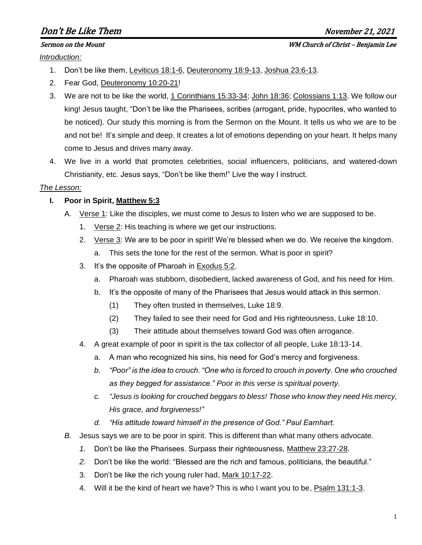# Don't Be Like Them and the settlement of the settlement of the November 21, 2021

*Introduction:*

- 1. Don't be like them, Leviticus 18:1-6, Deuteronomy 18:9-13, Joshua 23:6-13.
- 2. Fear God, Deuteronomy 10:20-21!
- 3. We are not to be like the world, 1 Corinthians 15:33-34; John 18:36; Colossians 1:13. We follow our king! Jesus taught, "Don't be like the Pharisees, scribes (arrogant, pride, hypocrites, who wanted to be noticed). Our study this morning is from the Sermon on the Mount. It tells us who we are to be and not be! It's simple and deep. It creates a lot of emotions depending on your heart. It helps many come to Jesus and drives many away.
- 4. We live in a world that promotes celebrities, social influencers, politicians, and watered-down Christianity, etc. Jesus says, "Don't be like them!" Live the way I instruct.

#### *The Lesson:*

### **I. Poor in Spirit, Matthew 5:3**

- A. Verse 1: Like the disciples, we must come to Jesus to listen who we are supposed to be.
	- 1. Verse 2: His teaching is where we get our instructions.
	- 2. Verse 3: We are to be poor in spirit! We're blessed when we do. We receive the kingdom.
		- a. This sets the tone for the rest of the sermon. What is poor in spirit?
	- 3. It's the opposite of Pharoah in Exodus 5:2.
		- a. Pharoah was stubborn, disobedient, lacked awareness of God, and his need for Him.
		- b. It's the opposite of many of the Pharisees that Jesus would attack in this sermon.
			- (1) They often trusted in themselves, Luke 18:9.
			- (2) They failed to see their need for God and His righteousness, Luke 18:10.
			- (3) Their attitude about themselves toward God was often arrogance.
	- 4. A great example of poor in spirit is the tax collector of all people, Luke 18:13-14.
		- a. A man who recognized his sins, his need for God's mercy and forgiveness.
		- *b. "Poor" is the idea to crouch. "One who is forced to crouch in poverty. One who crouched as they begged for assistance." Poor in this verse is spiritual poverty.*
		- *c. "Jesus is looking for crouched beggars to bless! Those who know they need His mercy, His grace, and forgiveness!"*
		- *d. "His attitude toward himself in the presence of God." Paul Earnhart.*
- *B.* Jesus says we are to be poor in spirit. This is different than what many others advocate.
	- *1.* Don't be like the Pharisees. Surpass their righteousness, Matthew 23:27-28.
	- *2.* Don't be like the world: "Blessed are the rich and famous, politicians, the beautiful."
	- 3. Don't be like the rich young ruler had, Mark 10:17-22.
	- 4. Will it be the kind of heart we have? This is who I want you to be, Psalm 131:1-3.